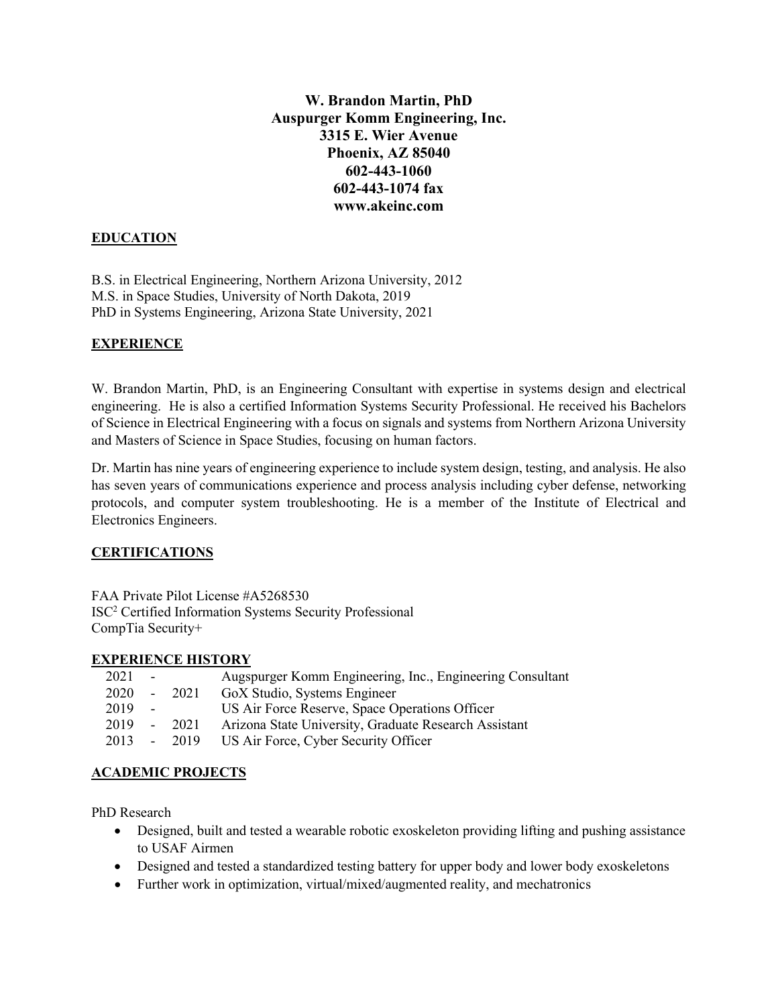**W. Brandon Martin, PhD Auspurger Komm Engineering, Inc. 3315 E. Wier Avenue Phoenix, AZ 85040 602-443-1060 602-443-1074 fax www.akeinc.com**

# **EDUCATION**

B.S. in Electrical Engineering, Northern Arizona University, 2012 M.S. in Space Studies, University of North Dakota, 2019 PhD in Systems Engineering, Arizona State University, 2021

### **EXPERIENCE**

W. Brandon Martin, PhD, is an Engineering Consultant with expertise in systems design and electrical engineering. He is also a certified Information Systems Security Professional. He received his Bachelors of Science in Electrical Engineering with a focus on signals and systems from Northern Arizona University and Masters of Science in Space Studies, focusing on human factors.

Dr. Martin has nine years of engineering experience to include system design, testing, and analysis. He also has seven years of communications experience and process analysis including cyber defense, networking protocols, and computer system troubleshooting. He is a member of the Institute of Electrical and Electronics Engineers.

### **CERTIFICATIONS**

FAA Private Pilot License #A5268530 ISC2 Certified Information Systems Security Professional CompTia Security+

### **EXPERIENCE HISTORY**

| 2021 | $\sim$ |               | Augspurger Komm Engineering, Inc., Engineering Consultant |
|------|--------|---------------|-----------------------------------------------------------|
| 2020 |        | $-2021$       | GoX Studio, Systems Engineer                              |
| 2019 | $\sim$ |               | US Air Force Reserve, Space Operations Officer            |
| 2019 |        | $-2021$       | Arizona State University, Graduate Research Assistant     |
|      |        | $2013 - 2019$ | US Air Force, Cyber Security Officer                      |

### **ACADEMIC PROJECTS**

PhD Research

- Designed, built and tested a wearable robotic exoskeleton providing lifting and pushing assistance to USAF Airmen
- Designed and tested a standardized testing battery for upper body and lower body exoskeletons
- Further work in optimization, virtual/mixed/augmented reality, and mechatronics